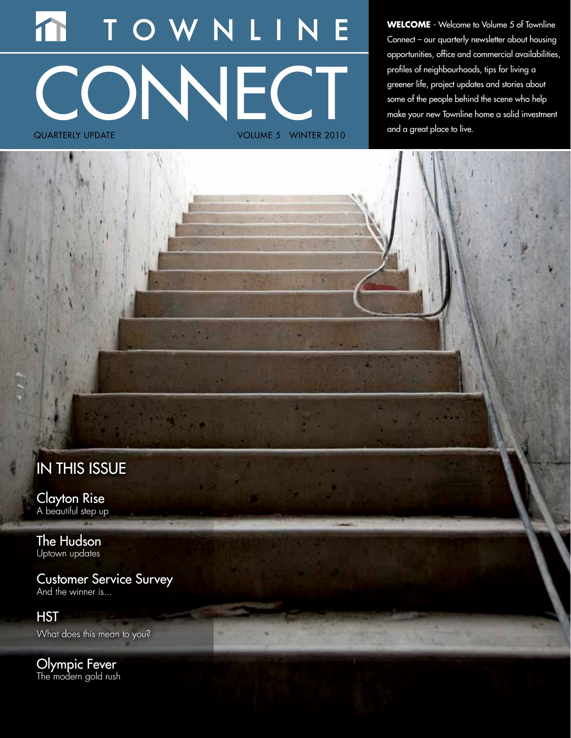# NLI CONNECT quarterly update Volume 5 Winter 2010

**WELCOME** - Welcome to Volume 5 of Townline Connect – our quarterly newsletter about housing opportunities, office and commercial availabilities, profiles of neighbourhoods, tips for living a greener life, project updates and stories about some of the people behind the scene who help make your new Townline home a solid investment and a great place to live.

# IN THIS ISSUE

Clayton Rise A beautiful step up

The Hudson Uptown updates

Customer Service Survey And the winner is...

**HST** What does this mean to you?

Olympic Fever The modern gold rush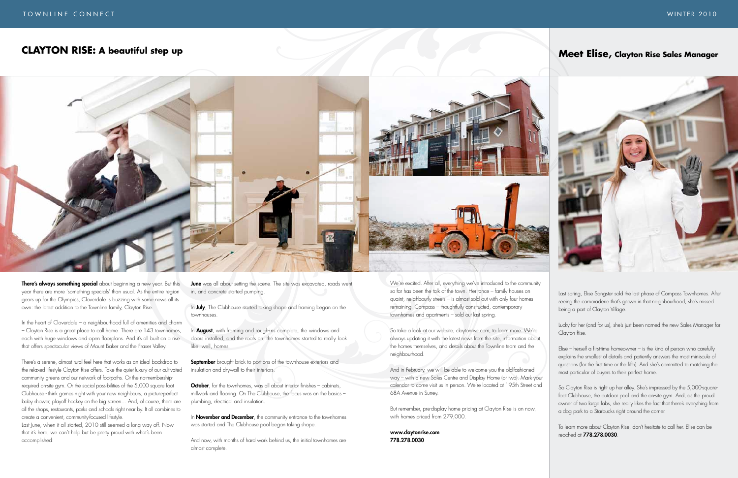## **CLAYTON RISE: A beautiful step up**



There's always something special about beginning a new year. But this year there are more 'something specials' than usual. As the entire region gears up for the Olympics, Cloverdale is buzzing with some news all its own: the latest addition to the Townline family, Clayton Rise.

In the heart of Cloverdale – a neighbourhood full of amenities and charm – Clayton Rise is a great place to call home. There are 143 townhomes, each with huge windows and open floorplans. And it's all built on a rise that offers spectacular views of Mount Baker and the Fraser Valley.

**June** was all about setting the scene. The site was excavated, roads went in, and concrete started pumping.

In July, The Clubhouse started taking shape and framing began on the townhouses.

In **August**, with framing and rough-ins complete, the windows and doors installed, and the roofs on, the townhomes started to really look like, well, homes.

There's a serene, almost rural feel here that works as an ideal backdrop to the relaxed lifestyle Clayton Rise offers. Take the quiet luxury of our cultivated community greens and our network of footpaths. Or the no-membershiprequired on-site gym. Or the social possibilities of the 5,000 square foot Clubhouse - think games night with your new neighbours, a picture-perfect baby shower, playoff hockey on the big screen… And, of course, there are all the shops, restaurants, parks and schools right near by. It all combines to create a convenient, community-focused lifestyle.

**September** brought brick to portions of the townhouse exteriors and insulation and drywall to their interiors.

October, for the townhomes, was all about interior finishes – cabinets, millwork and flooring. On The Clubhouse, the focus was on the basics – plumbing, electrical and insulation.

In **November and December**, the community entrance to the townhomes was started and The Clubhouse pool began taking shape.

Last June, when it all started, 2010 still seemed a long way off. Now that it's here, we can't help but be pretty proud with what's been accomplished:

And now, with months of hard work behind us, the initial townhomes are almost complete.

We're excited. After all, everything we've introduced to the community so far has been the talk of the town. Heritance – family houses on quaint, neighbourly streets – is almost sold out with only four homes remaining. Compass – thoughtfully constructed, contemporary townhomes and apartments – sold out last spring.

So take a look at our website, claytonrise.com, to learn more. We're always updating it with the latest news from the site, information about the homes themselves, and details about the Townline team and the neighbourhood.

And in February, we will be able to welcome you the old-fashioned way – with a new Sales Centre and Display Home (or two). Mark your calendar to come visit us in person. We're located at 195th Street and 68A Avenue in Surrey.

But remember, pre-display home pricing at Clayton Rise is on now, with homes priced from 279,000.

#### www.claytonrise.com 778.278.0030

Last spring, Elise Sangster sold the last phase of Compass Townhomes. After seeing the camaraderie that's grown in that neighbourhood, she's missed being a part of Clayton Village.

Lucky for her (and for us), she's just been named the new Sales Manager for Clayton Rise.

Elise – herself a first-time homeowner – is the kind of person who carefully explains the smallest of details and patiently answers the most miniscule of questions (for the first time or the fifth). And she's committed to matching the most particular of buyers to their perfect home.

So Clayton Rise is right up her alley. She's impressed by the 5,000-squarefoot Clubhouse, the outdoor pool and the on-site gym. And, as the proud owner of two large labs, she really likes the fact that there's everything from a dog park to a Starbucks right around the corner.

To learn more about Clayton Rise, don't hesitate to call her. Elise can be reached at 778.278.0030.

## **Meet Elise, Clayton Rise Sales Manager**

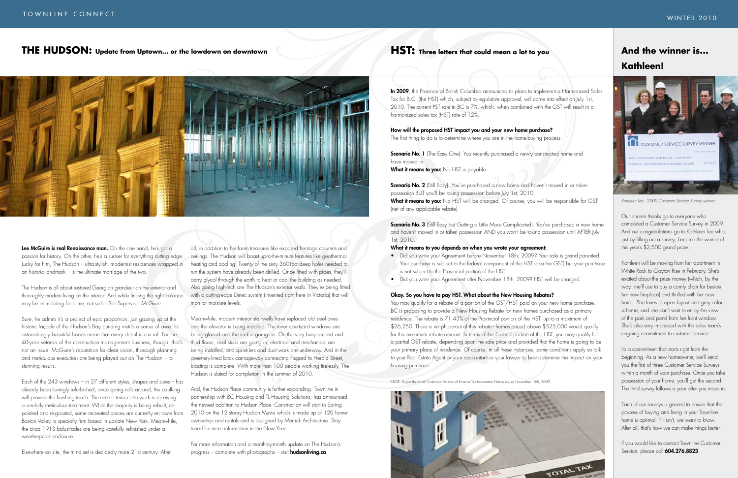In 2009, the Province of British Columbia announced its plans to implement a Harmonized Sales Tax for B.C. (the HST) which, subject to legislative approval, will come into effect on July 1st, 2010. The current PST rate in BC is 7%, which, when combined with the GST will result in a harmonized sales tax (HST) rate of 12%.

**Scenario No. 1** (The Easy One): You recently purchased a newly constructed home and have moved in.

What it means to you: No HST is payable.

How will the proposed HST impact you and your new home purchase? The first thing to do is to determine where you are in the home-buying process:

Scenario No. 2 (Still Easy): You've purchased a new home and haven't moved in or taken possession BUT you'll be taking possession before July 1st, 2010. What it means to you: No HST will be charged. Of course, you will be responsible for GST (net of any applicable rebate).

Scenario No. 3 (Still Easy but Getting a Little More Complicated): You've purchased a new home and haven't moved in or taken possession AND you won't be taking possession until AFTER July 1st, 2010.

- Did you write your Agreement before November 18th, 2009? Your sale is grand parented. Your purchase is subject to the federal component of the HST (aka the GST) but your purchase is not subject to the Provincial portion of the HST.
- Did you write your Agreement after November 18th, 2009? HST will be charged.

#### What it means to you depends on when you wrote your agreement:

You may qualify for a rebate of a portion of the GST/HST paid on your new home purchase. BC is proposing to provide a New Housing Rebate for new homes purchased as a primary residence. The rebate is 71.43% of the Provincial portion of the HST, up to a maximum of \$26,250. There is no phase-out of this rebate - homes priced above \$525,000 would qualify for this maximum rebate amount. In terms of the Federal portion of the HST, you may qualify for a partial GST rebate, depending upon the sale price and provided that the home is going to be your primary place of residence. Of course, in all these instances, some conditions apply so talk to your Real Estate Agent or your accountant or your lawyer to best determine the impact on your housing purchase.

#### Okay. So you have to pay HST. What about the New Housing Rebates?

It's a commitment that starts right from the beginning. As a new homeowner, we'll send you the first of three Customer Service Surveys within a month of your purchase. Once you take possession of your home, you'll get the second. The third survey follows a year after you move in.

Lee McGuire is real Renaissance man. On the one hand, he's got a passion for history. On the other, he's a sucker for everything cutting edge. Lucky for him, The Hudson – ultra-stylish, modernist residences wrapped in an historic landmark – is the ultimate marriage of the two.

E&OE. As per the British Columbia Ministry of Finance Tax Information Notice issued November 18th, 2009.





# **Kathleen!**



*Kathleen Lee - 2009 Customer Service Survey winner.*

Our sincere thanks go to everyone who completed a Customer Service Survey in 2009. And our congratulations go to Kathleen Lee who, just by filling out a survey, became the winner of this year's \$2,500 grand prize.

Kathleen will be moving from her apartment in White Rock to Clayton Rise in February. She's excited about the prize money (which, by the way, she'll use to buy a comfy chair for beside her new fireplace) and thrilled with her new home. She loves its open layout and grey colour scheme, and she can't wait to enjoy the view of the park and pond from her front window. She's also very impressed with the sales team's ongoing commitment to customer service.

For more information and a month-by-month update on The Hudson's progress – complete with photographs – visit **hudsonliving.ca**.

Each of our surveys is geared to ensure that the process of buying and living in your Townline home is optimal. If it isn't, we want to know. After all, that's how we can make things better.

If you would like to contact Townline Customer Service, please call 604.276.8823

The Hudson is all about restored Georgian grandeur on the exterior and thoroughly modern living on the interior. And while finding the right balance may be intimidating for some, not so for Site Supervisor McGuire.

Sure, he admits it's a project of epic proportion. Just gazing up at the historic façade of the Hudson's Bay building instills a sense of awe. Its astonishingly beautiful bones mean that every detail is crucial. For the 40-year veteran of the construction management business, though, that's not an issue. McGuire's reputation for clear vision, thorough planning and meticulous execution are being played out on The Hudson – to stunning results.

Each of the 243 windows – in 27 different styles, shapes and sizes – has already been lovingly refurbished; once spring rolls around, the caulking will provide the finishing touch. The ornate terra cotta work is receiving a similarly meticulous treatment. While the majority is being rebuilt, repointed and re-grouted, some recreated pieces are currently en route from Boston Valley, a specialty firm based in upstate New York. Meanwhile, the circa 1913 balustrades are being carefully refinished under a weatherproof enclosure.

Elsewhere on site, the mind set is decidedly more 21st century. After

all, in addition to heirloom treasures like exposed heritage columns and ceilings, The Hudson will boast up-to-the-minute features like geothermal heating and cooling. Twenty of the sixty 360-foot-deep holes needed to run the system have already been drilled. Once fitted with pipes, they'll carry glycol through the earth to heat or cool the building as needed. Also going high-tech are The Hudson's exterior walls. They're being fitted with a cutting-edge Detec system (invented right here in Victoria) that will monitor moisture levels.

Meanwhile, modern interior stairwells have replaced old steel ones and the elevator is being installed. The inner courtyard windows are being glazed and the roof is going on. On the very busy second and third floors, steel studs are going in, electrical and mechanical are being installed, and sprinklers and duct work are underway. And in the greenery-lined brick carriageway connecting Fisgard to Herald Street, blasting is complete. With more than 100 people working tirelessly, The Hudson is slated for completion in the summer of 2010.

And, the Hudson Place community is further expanding. Townline in partnership with BC Housing and TL Housing Solutions, has announced the newest addition to Hudson Place. Construction will start in Spring 2010 on the 12 storey Hudson Mews which is made up of 120 homeownership and rentals and is designed by Merrick Architecture. Stay tuned for more information in the New Year.

## **THE HUDSON: Update from Uptown... or the lowdown on downtown**

## **HST:** Three letters that could mean a lot to you **And the winner is...**

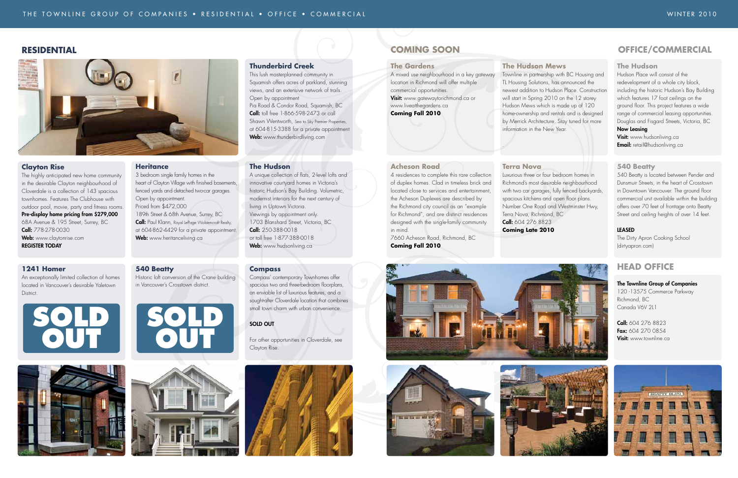### **RESIDENTIAL COMING SOON**

#### **The Hudson**

Hudson Place will consist of the redevelopment of a whole city block, including the historic Hudson's Bay Building which features 17 foot ceilings on the ground floor. This project features a wide range of commercial leasing opportunities. Douglas and Fisgard Streets, Victoria, BC Now Leasing

#### **Visit:** www.hudsonliving.ca

**Email:** retail@hudsonliving.ca

#### **540 Beatty**

540 Beatty is located between Pender and Dunsmuir Streets, in the heart of Crosstown in Downtown Vancouver. The ground floor commercial unit available within the building offers over 70 feet of frontage onto Beatty Street and ceiling heights of over 14 feet.

#### LEASED

The Dirty Apron Cooking School (dirtyapron.com)

## **Head Office**

The Townline Group of Companies 120 -13575 Commerce Parkway Richmond, BC Canada V6V 2L1

Call: 604 276 8823 Fax: 604 270 0854 **Visit:** www.townline.ca



### **OFFICE/COMMERCIAL**

#### **The Gardens**

A mixed use neighbourhood in a key gateway location in Richmond will offer multiple commercial opportunities. Visit: www.gatewaytorichmond.ca or www.liveatthegardens.ca **Coming Fall 2010** 

#### **Acheson Road**

4 residences to complete this rare collection of duplex homes. Clad in timeless brick and located close to services and entertainment, the Acheson Duplexes are described by the Richmond city council as an "example for Richmond", and are distinct residences designed with the single-family community in mind.

7660 Acheson Road, Richmond, BC







**Coming Fall 2010**

This lush masterplanned community in Squamish offers acres of parkland, stunning views, and an extensive network of trails. Open by appointment Pia Road & Condor Road, Squamish, BC **Call:** toll free 1-866-598-2473 or call Shawn Wentworth, Sea to Sky Premier Properties, at 604-815-3388 for a private appointment Web: www.thunderbirdliving.com

#### **The Hudson Mews**

Townline in partnership with BC Housing and TL Housing Solutions, has announced the newest addition to Hudson Place. Construction will start in Spring 2010 on the 12 storey Hudson Mews which is made up of 120 home-ownership and rentals and is designed by Merrick Architecture. Stay tuned for more

A unique collection of flats, 2-level lofts and innovative courtyard homes in Victoria's historic Hudson's Bay Building. Volumetric, modernist interiors for the next century of living in Uptown Victoria. Viewings by appointment only. 1703 Blanshard Street, Victoria, BC Call: 250-388-0018 or toll free 1-877-388-0018 Web: www.hudsonliving.ca

information in the New Year.

.

Luxurious three or four bedroom homes in Richmond's most desirable neighbourhood with two car garages, fully fenced backyards, spacious kitchens and open floor plans. Number One Road and Westminster Hwy,

# **Terra Nova** Terra Nova, Richmond, BC Call: 604 276 8823 **Coming Late 2010**



#### **Clayton Rise**

The highly anticipated new home community in the desirable Clayton neighbourhood of Cloverdale is a collection of 143 spacious townhomes. Features The Clubhouse with outdoor pool, movie, party and fitness rooms. Pre-display home pricing from \$279,000 68A Avenue & 195 Street, Surrey, BC Call: 778-278-0030 Web: www.claytonrise.com Register Today

#### **1241 Homer**

An exceptionally limited collection of homes located in Vancouver's desirable Yaletown District.

#### **Heritance**

3 bedroom single family homes in the heart of Clayton Village with finished basements, fenced yards and detached two-car garages. Open by appointment. Priced from \$472,000 189th Street & 68th Avenue, Surrey, BC

**Call:** Paul Klann, Royal LePage Wolstencroft Realty, at 604-862-4429 for a private appointment. Web: www.heritanceliving.ca

#### **540 Beatty**

Historic loft conversion of the Crane building in Vancouver's Crosstown district.

#### **Thunderbird Creek**

#### **The Hudson**

#### **Compass**

Compass' contemporary Townhomes offer spacious two and three-bedroom floorplans, an enviable list of luxurious features, and a sought-after Cloverdale location that combines small town charm with urban convenience.

#### SOLD OUT

For other opportunities in Cloverdale, see Clayton Rise.